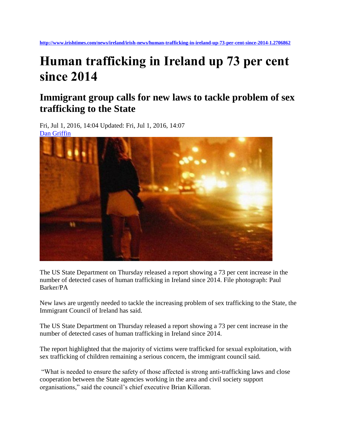## **Human trafficking in Ireland up 73 per cent since 2014**

## **Immigrant group calls for new laws to tackle problem of sex trafficking to the State**

Fri, Jul 1, 2016, 14:04 Updated: Fri, Jul 1, 2016, 14:07 [Dan Griffin](http://www.irishtimes.com/profile/dan-griffin-7.1010691)



The US State Department on Thursday released a report showing a 73 per cent increase in the number of detected cases of human trafficking in Ireland since 2014. File photograph: Paul Barker/PA

New laws are urgently needed to tackle the increasing problem of sex trafficking to the State, the Immigrant Council of Ireland has said.

The US State Department on Thursday released a report showing a 73 per cent increase in the number of detected cases of human trafficking in Ireland since 2014.

The report highlighted that the majority of victims were trafficked for sexual exploitation, with sex trafficking of children remaining a serious concern, the immigrant council said.

"What is needed to ensure the safety of those affected is strong anti-trafficking laws and close cooperation between the State agencies working in the area and civil society support organisations," said the council's chief executive Brian Killoran.